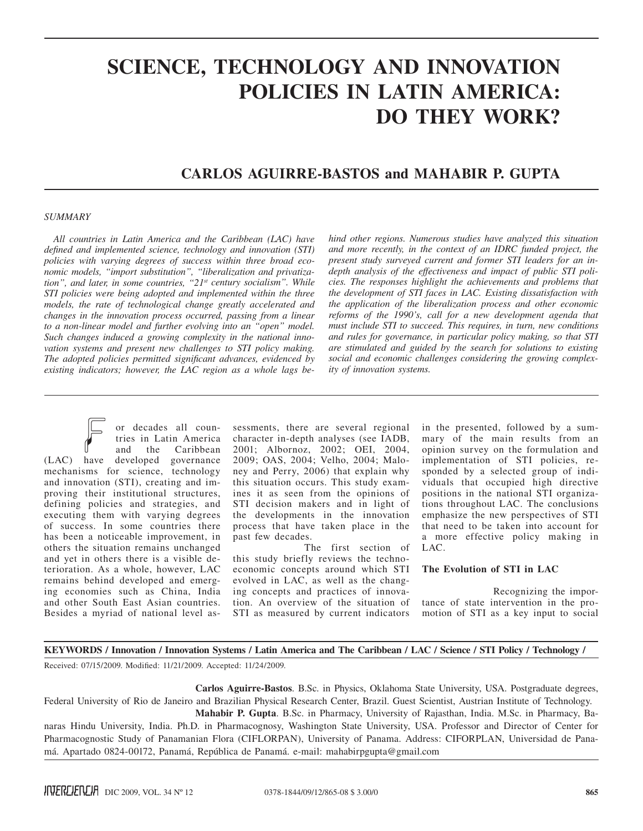# **SCIENCE, TECHNOLOGY AND INNOVATION POLICIES IN LATIN AMERICA: DO THEY WORK?**

# **Carlos Aguirre-Bastos and Mahabir P. Gupta**

### *SUMMARY*

*All countries in Latin America and the Caribbean (LAC) have defined and implemented science, technology and innovation (STI) policies with varying degrees of success within three broad economic models, "import substitution", "liberalization and privatization", and later, in some countries, "21st century socialism". While STI policies were being adopted and implemented within the three models, the rate of technological change greatly accelerated and changes in the innovation process occurred, passing from a linear to a non-linear model and further evolving into an "open" model. Such changes induced a growing complexity in the national innovation systems and present new challenges to STI policy making. The adopted policies permitted significant advances, evidenced by existing indicators; however, the LAC region as a whole lags be-* *hind other regions. Numerous studies have analyzed this situation and more recently, in the context of an IDRC funded project, the present study surveyed current and former STI leaders for an indepth analysis of the effectiveness and impact of public STI policies. The responses highlight the achievements and problems that the development of STI faces in LAC. Existing dissatisfaction with the application of the liberalization process and other economic reforms of the 1990's, call for a new development agenda that must include STI to succeed. This requires, in turn, new conditions and rules for governance, in particular policy making, so that STI are stimulated and guided by the search for solutions to existing social and economic challenges considering the growing complexity of innovation systems.*

or decades all countries in Latin America and the Caribbean (LAC) have developed governance mechanisms for science, technology and innovation (STI), creating and improving their institutional structures, defining policies and strategies, and executing them with varying degrees of success. In some countries there has been a noticeable improvement, in others the situation remains unchanged and yet in others there is a visible deterioration. As a whole, however, LAC remains behind developed and emerging economies such as China, India and other South East Asian countries. Besides a myriad of national level as-

sessments, there are several regional character in-depth analyses (see IADB, 2001; Albornoz, 2002; OEI, 2004, 2009; OAS, 2004; Velho, 2004; Maloney and Perry, 2006) that explain why this situation occurs. This study examines it as seen from the opinions of STI decision makers and in light of the developments in the innovation process that have taken place in the past few decades.

The first section of this study briefly reviews the technoeconomic concepts around which STI evolved in LAC, as well as the changing concepts and practices of innovation. An overview of the situation of STI as measured by current indicators in the presented, followed by a summary of the main results from an opinion survey on the formulation and implementation of STI policies, responded by a selected group of individuals that occupied high directive positions in the national STI organizations throughout LAC. The conclusions emphasize the new perspectives of STI that need to be taken into account for a more effective policy making in LAC.

## **The Evolution of STI in LAC**

Recognizing the importance of state intervention in the promotion of STI as a key input to social

### KEYWORDS / Innovation / Innovation Systems / Latin America and The Caribbean / LAC / Science / STI Policy / Technology /

Received: 07/15/2009. Modified: 11/21/2009. Accepted: 11/24/2009.

**Carlos Aguirre-Bastos**. B.Sc. in Physics, Oklahoma State University, USA. Postgraduate degrees, Federal University of Rio de Janeiro and Brazilian Physical Research Center, Brazil. Guest Scientist, Austrian Institute of Technology. **Mahabir P. Gupta**. B.Sc. in Pharmacy, University of Rajasthan, India. M.Sc. in Pharmacy, Ba-

naras Hindu University, India. Ph.D. in Pharmacognosy, Washington State University, USA. Professor and Director of Center for Pharmacognostic Study of Panamanian Flora (CIFLORPAN), University of Panama. Address: CIFORPLAN, Universidad de Panamá. Apartado 0824-00172, Panamá, República de Panamá. e-mail: mahabirpgupta@gmail.com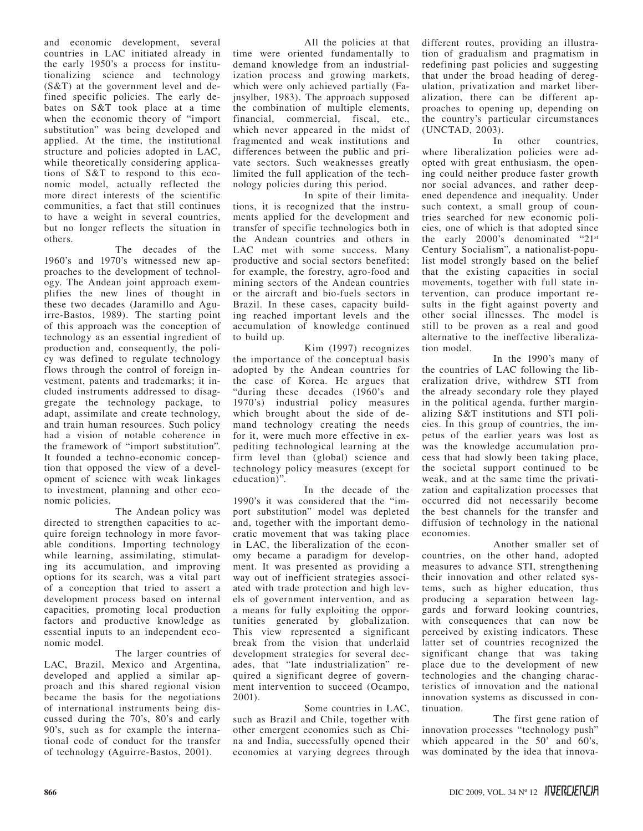and economic development, several countries in LAC initiated already in the early 1950's a process for institutionalizing science and technology (S&T) at the government level and defined specific policies. The early debates on S&T took place at a time when the economic theory of "import substitution" was being developed and applied. At the time, the institutional structure and policies adopted in LAC, while theoretically considering applications of S&T to respond to this economic model, actually reflected the more direct interests of the scientific communities, a fact that still continues to have a weight in several countries, but no longer reflects the situation in others.

The decades of the 1960's and 1970's witnessed new approaches to the development of technology. The Andean joint approach exemplifies the new lines of thought in these two decades (Jaramillo and Aguirre-Bastos, 1989). The starting point of this approach was the conception of technology as an essential ingredient of production and, consequently, the policy was defined to regulate technology flows through the control of foreign investment, patents and trademarks; it included instruments addressed to disaggregate the technology package, to adapt, assimilate and create technology, and train human resources. Such policy had a vision of notable coherence in the framework of "import substitution". It founded a techno-economic conception that opposed the view of a development of science with weak linkages to investment, planning and other economic policies.

The Andean policy was directed to strengthen capacities to acquire foreign technology in more favorable conditions. Importing technology while learning, assimilating, stimulating its accumulation, and improving options for its search, was a vital part of a conception that tried to assert a development process based on internal capacities, promoting local production factors and productive knowledge as essential inputs to an independent economic model.

The larger countries of LAC, Brazil, Mexico and Argentina, developed and applied a similar approach and this shared regional vision became the basis for the negotiations of international instruments being discussed during the 70's, 80's and early 90's, such as for example the international code of conduct for the transfer of technology (Aguirre-Bastos, 2001).

All the policies at that time were oriented fundamentally to demand knowledge from an industrialization process and growing markets, which were only achieved partially (Fajnsylber, 1983). The approach supposed the combination of multiple elements, financial, commercial, fiscal, etc., which never appeared in the midst of fragmented and weak institutions and differences between the public and private sectors. Such weaknesses greatly limited the full application of the technology policies during this period.

In spite of their limitations, it is recognized that the instruments applied for the development and transfer of specific technologies both in the Andean countries and others in LAC met with some success. Many productive and social sectors benefited; for example, the forestry, agro-food and mining sectors of the Andean countries or the aircraft and bio-fuels sectors in Brazil. In these cases, capacity building reached important levels and the accumulation of knowledge continued to build up.

Kim (1997) recognizes the importance of the conceptual basis adopted by the Andean countries for the case of Korea. He argues that "during these decades (1960's and 1970's) industrial policy measures which brought about the side of demand technology creating the needs for it, were much more effective in expediting technological learning at the firm level than (global) science and technology policy measures (except for education)".

In the decade of the 1990's it was considered that the "import substitution" model was depleted and, together with the important democratic movement that was taking place in LAC, the liberalization of the economy became a paradigm for development. It was presented as providing a way out of inefficient strategies associated with trade protection and high levels of government intervention, and as a means for fully exploiting the opportunities generated by globalization. This view represented a significant break from the vision that underlaid development strategies for several decades, that "late industrialization" required a significant degree of government intervention to succeed (Ocampo, 2001).

Some countries in LAC, such as Brazil and Chile, together with other emergent economies such as China and India, successfully opened their economies at varying degrees through different routes, providing an illustration of gradualism and pragmatism in redefining past policies and suggesting that under the broad heading of deregulation, privatization and market liberalization, there can be different approaches to opening up, depending on the country's particular circumstances (UNCTAD, 2003).

In other countries, where liberalization policies were adopted with great enthusiasm, the opening could neither produce faster growth nor social advances, and rather deepened dependence and inequality. Under such context, a small group of countries searched for new economic policies, one of which is that adopted since the early 2000's denominated "21st Century Socialism", a nationalist-populist model strongly based on the belief that the existing capacities in social movements, together with full state intervention, can produce important results in the fight against poverty and other social illnesses. The model is still to be proven as a real and good alternative to the ineffective liberalization model.

In the 1990's many of the countries of LAC following the liberalization drive, withdrew STI from the already secondary role they played in the political agenda, further marginalizing S&T institutions and STI policies. In this group of countries, the impetus of the earlier years was lost as was the knowledge accumulation process that had slowly been taking place, the societal support continued to be weak, and at the same time the privatization and capitalization processes that occurred did not necessarily become the best channels for the transfer and diffusion of technology in the national economies.

Another smaller set of countries, on the other hand, adopted measures to advance STI, strengthening their innovation and other related systems, such as higher education, thus producing a separation between laggards and forward looking countries, with consequences that can now be perceived by existing indicators. These latter set of countries recognized the significant change that was taking place due to the development of new technologies and the changing characteristics of innovation and the national innovation systems as discussed in continuation.

The first gene ration of innovation processes "technology push" which appeared in the 50' and 60's, was dominated by the idea that innova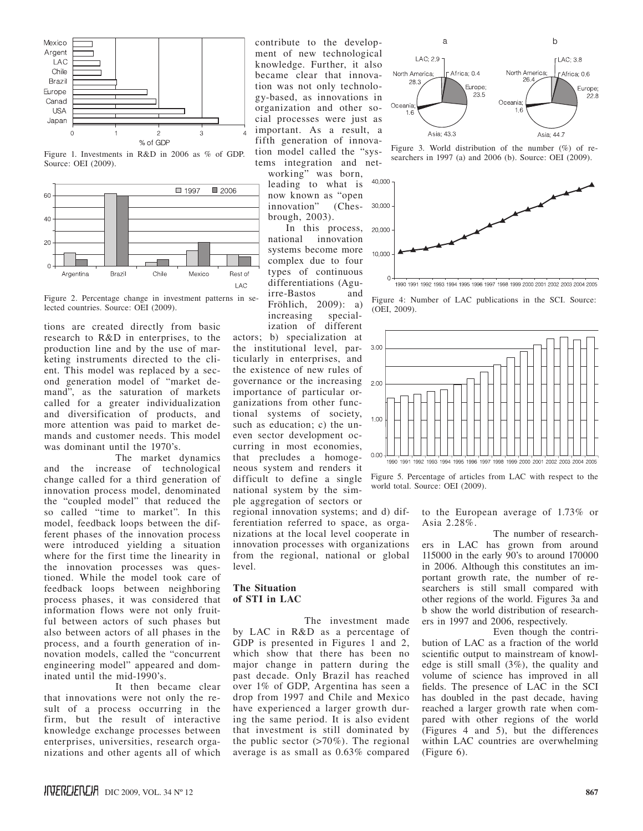

Figure 1. Investments in R&D in 2006 as % of GDP. Source: OEI (2009).



Figure 2. Percentage change in investment patterns in selected countries. Source: OEI (2009).

tions are created directly from basic research to R&D in enterprises, to the production line and by the use of marketing instruments directed to the client. This model was replaced by a second generation model of "market demand", as the saturation of markets called for a greater individualization and diversification of products, and more attention was paid to market demands and customer needs. This model was dominant until the 1970's.

The market dynamics and the increase of technological change called for a third generation of innovation process model, denominated the "coupled model" that reduced the so called "time to market". In this model, feedback loops between the different phases of the innovation process were introduced yielding a situation where for the first time the linearity in the innovation processes was questioned. While the model took care of feedback loops between neighboring process phases, it was considered that information flows were not only fruitful between actors of such phases but also between actors of all phases in the process, and a fourth generation of innovation models, called the "concurrent engineering model" appeared and dominated until the mid-1990's.

It then became clear that innovations were not only the result of a process occurring in the firm, but the result of interactive knowledge exchange processes between enterprises, universities, research organizations and other agents all of which

contribute to the development of new technological knowledge. Further, it also became clear that innovation was not only technology-based, as innovations in organization and other social processes were just as important. As a result, a fifth generation of innovation model called the "systems integration and net-

working" was born, leading to what is now known as "open<br>innovation" (Chesinnovation" brough, 2003).

In this process, national innovation systems become more complex due to four types of continuous differentiations (Aguirre-Bastos and Fröhlich, 2009): a) increasing specialization of different

actors; b) specialization at the institutional level, particularly in enterprises, and the existence of new rules of governance or the increasing importance of particular organizations from other functional systems of society, such as education; c) the uneven sector development occurring in most economies, that precludes a homogeneous system and renders it difficult to define a single national system by the simple aggregation of sectors or

regional innovation systems; and d) differentiation referred to space, as organizations at the local level cooperate in innovation processes with organizations from the regional, national or global level.

# **The Situation of STI in LAC**

The investment made by LAC in R&D as a percentage of GDP is presented in Figures 1 and 2, which show that there has been no major change in pattern during the past decade. Only Brazil has reached over 1% of GDP, Argentina has seen a drop from 1997 and Chile and Mexico have experienced a larger growth during the same period. It is also evident that investment is still dominated by the public sector  $(>70\%)$ . The regional average is as small as 0.63% compared



Figure 3. World distribution of the number (%) of researchers in 1997 (a) and 2006 (b). Source: OEI (2009).



1990 1991 1992 1993 1994 1995 1996 1997 1998 1999 2000 2001 2002 2003 2004 2005

Figure 4: Number of LAC publications in the SCI. Source: (OEI, 2009).



Figure 5. Percentage of articles from LAC with respect to the world total. Source: OEI (2009).

to the European average of 1.73% or Asia 2.28%.

The number of researchers in LAC has grown from around 115000 in the early 90's to around 170000 in 2006. Although this constitutes an important growth rate, the number of researchers is still small compared with other regions of the world. Figures 3a and b show the world distribution of researchers in 1997 and 2006, respectively.

Even though the contribution of LAC as a fraction of the world scientific output to mainstream of knowledge is still small (3%), the quality and volume of science has improved in all fields. The presence of LAC in the SCI has doubled in the past decade, having reached a larger growth rate when compared with other regions of the world (Figures 4 and 5), but the differences within LAC countries are overwhelming (Figure 6).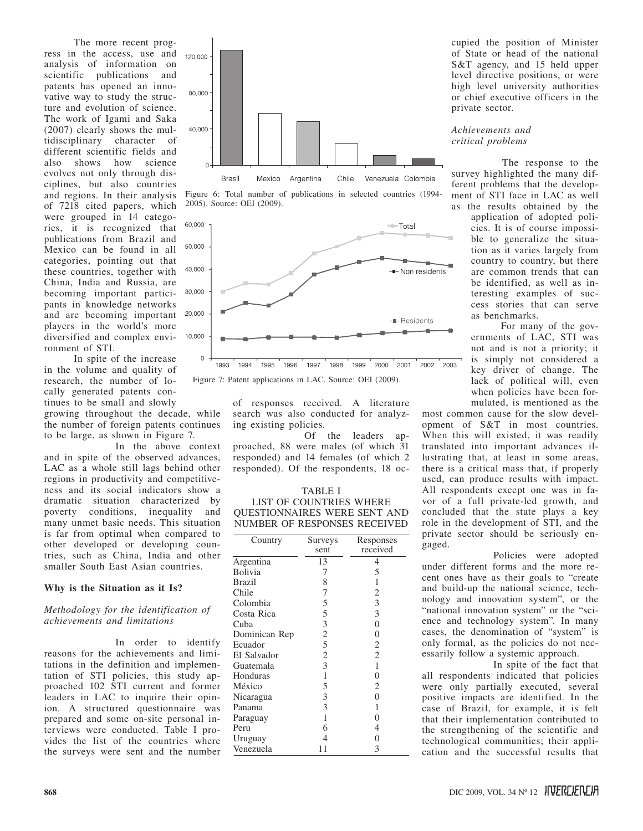The more recent progress in the access, use and analysis of information on scientific publications and patents has opened an innovative way to study the structure and evolution of science. The work of Igami and Saka (2007) clearly shows the multidisciplinary character of different scientific fields and also shows how science evolves not only through disciplines, but also countries and regions. In their analysis of 7218 cited papers, which were grouped in 14 categories, it is recognized that publications from Brazil and Mexico can be found in all categories, pointing out that these countries, together with China, India and Russia, are becoming important participants in knowledge networks and are becoming important players in the world's more diversified and complex environment of STI.

In spite of the increase in the volume and quality of research, the number of locally generated patents continues to be small and slowly

growing throughout the decade, while the number of foreign patents continues to be large, as shown in Figure 7.

In the above context and in spite of the observed advances, LAC as a whole still lags behind other regions in productivity and competitiveness and its social indicators show a dramatic situation characterized by poverty conditions, inequality and many unmet basic needs. This situation is far from optimal when compared to other developed or developing countries, such as China, India and other smaller South East Asian countries.

### **Why is the Situation as it Is?**

#### *Methodology for the identification of achievements and limitations*

In order to identify reasons for the achievements and limitations in the definition and implementation of STI policies, this study approached 102 STI current and former leaders in LAC to inquire their opinion. A structured questionnaire was prepared and some on-site personal interviews were conducted. Table I provides the list of the countries where the surveys were sent and the number







Figure 7: Patent applications in LAC. Source: OEI (2009).

of responses received. A literature search was also conducted for analyzing existing policies.

Of the leaders approached, 88 were males (of which 31 responded) and 14 females (of which 2 responded). Of the respondents, 18 oc-

# TABLE I LIST OF COUNTRIES WHERE QUESTIONNAIRES WERE SENT AND NUMBER OF RESPONSES RECEIVED

| Country       | Surveys        | Responses      |
|---------------|----------------|----------------|
|               | sent           | received       |
| Argentina     | 13             | 4              |
| Bolivia       | 7              | 5              |
| <b>Brazil</b> | 8              | 1              |
| Chile         | 7              | 2              |
| Colombia      | 5              | 3              |
| Costa Rica    | 5              | 3              |
| Cuba          | 3              | $\overline{0}$ |
| Dominican Rep | $\overline{c}$ | $\theta$       |
| Ecuador       | 5              | 2              |
| El Salvador   | $\overline{2}$ | $\overline{2}$ |
| Guatemala     | 3              | 1              |
| Honduras      | 1              | $\theta$       |
| México        | 5              | 2              |
| Nicaragua     | 3              | 0              |
| Panama        | 3              | 1              |
| Paraguay      | 1              | 0              |
| Peru          | 6              | 4              |
| Uruguay       | 4              | 0              |
| Venezuela     | -1             | 3              |

cupied the position of Minister of State or head of the national S&T agency, and 15 held upper level directive positions, or were high level university authorities or chief executive officers in the private sector.

*Achievements and critical problems*

The response to the survey highlighted the many different problems that the development of STI face in LAC as well as the results obtained by the

application of adopted policies. It is of course impossible to generalize the situation as it varies largely from country to country, but there are common trends that can be identified, as well as interesting examples of success stories that can serve as benchmarks.

For many of the governments of LAC, STI was not and is not a priority; it is simply not considered a key driver of change. The lack of political will, even when policies have been formulated, is mentioned as the

most common cause for the slow development of S&T in most countries. When this will existed, it was readily translated into important advances illustrating that, at least in some areas, there is a critical mass that, if properly used, can produce results with impact. All respondents except one was in favor of a full private-led growth, and concluded that the state plays a key role in the development of STI, and the private sector should be seriously engaged.

Policies were adopted under different forms and the more recent ones have as their goals to "create and build-up the national science, technology and innovation system", or the "national innovation system" or the "science and technology system". In many cases, the denomination of "system" is only formal, as the policies do not necessarily follow a systemic approach.

In spite of the fact that all respondents indicated that policies were only partially executed, several positive impacts are identified. In the case of Brazil, for example, it is felt that their implementation contributed to the strengthening of the scientific and technological communities; their application and the successful results that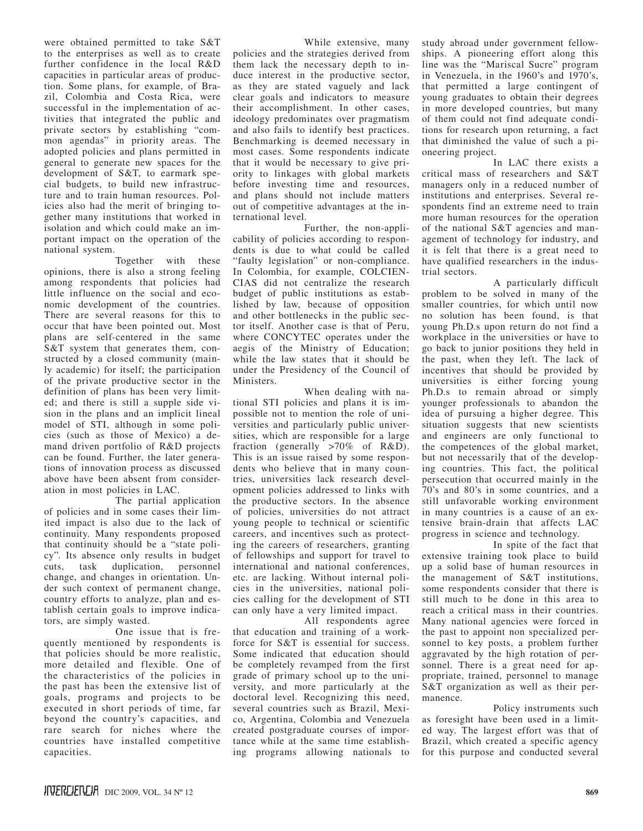were obtained permitted to take S&T to the enterprises as well as to create further confidence in the local R&D capacities in particular areas of production. Some plans, for example, of Brazil, Colombia and Costa Rica, were successful in the implementation of activities that integrated the public and private sectors by establishing "common agendas" in priority areas. The adopted policies and plans permitted in general to generate new spaces for the development of S&T, to earmark special budgets, to build new infrastructure and to train human resources. Policies also had the merit of bringing together many institutions that worked in isolation and which could make an important impact on the operation of the national system.

Together with these opinions, there is also a strong feeling among respondents that policies had little influence on the social and economic development of the countries. There are several reasons for this to occur that have been pointed out. Most plans are self-centered in the same S&T system that generates them, constructed by a closed community (mainly academic) for itself; the participation of the private productive sector in the definition of plans has been very limited; and there is still a supple side vision in the plans and an implicit lineal model of STI, although in some policies (such as those of Mexico) a demand driven portfolio of R&D projects can be found. Further, the later generations of innovation process as discussed above have been absent from consideration in most policies in LAC.

The partial application of policies and in some cases their limited impact is also due to the lack of continuity. Many respondents proposed that continuity should be a "state policy". Its absence only results in budget<br>cuts, task duplication, personnel duplication, personnel change, and changes in orientation. Under such context of permanent change, country efforts to analyze, plan and establish certain goals to improve indicators, are simply wasted.

One issue that is frequently mentioned by respondents is that policies should be more realistic, more detailed and flexible. One of the characteristics of the policies in the past has been the extensive list of goals, programs and projects to be executed in short periods of time, far beyond the country's capacities, and rare search for niches where the countries have installed competitive capacities.

While extensive, many policies and the strategies derived from them lack the necessary depth to induce interest in the productive sector, as they are stated vaguely and lack clear goals and indicators to measure their accomplishment. In other cases, ideology predominates over pragmatism and also fails to identify best practices. Benchmarking is deemed necessary in most cases. Some respondents indicate that it would be necessary to give priority to linkages with global markets before investing time and resources, and plans should not include matters out of competitive advantages at the international level.

Further, the non-applicability of policies according to respondents is due to what could be called "faulty legislation" or non-compliance. In Colombia, for example, COLCIEN-CIAS did not centralize the research budget of public institutions as established by law, because of opposition and other bottlenecks in the public sector itself. Another case is that of Peru, where CONCYTEC operates under the aegis of the Ministry of Education; while the law states that it should be under the Presidency of the Council of Ministers.

When dealing with national STI policies and plans it is impossible not to mention the role of universities and particularly public universities, which are responsible for a large fraction (generally  $>70\%$  of R&D). This is an issue raised by some respondents who believe that in many countries, universities lack research development policies addressed to links with the productive sectors. In the absence of policies, universities do not attract young people to technical or scientific careers, and incentives such as protecting the careers of researchers, granting of fellowships and support for travel to international and national conferences, etc. are lacking. Without internal policies in the universities, national policies calling for the development of STI can only have a very limited impact.

All respondents agree that education and training of a workforce for S&T is essential for success. Some indicated that education should be completely revamped from the first grade of primary school up to the university, and more particularly at the doctoral level. Recognizing this need, several countries such as Brazil, Mexico, Argentina, Colombia and Venezuela created postgraduate courses of importance while at the same time establishing programs allowing nationals to

study abroad under government fellowships. A pioneering effort along this line was the "Mariscal Sucre" program in Venezuela, in the 1960's and 1970's, that permitted a large contingent of young graduates to obtain their degrees in more developed countries, but many of them could not find adequate conditions for research upon returning, a fact that diminished the value of such a pioneering project.

In LAC there exists a critical mass of researchers and S&T managers only in a reduced number of institutions and enterprises. Several respondents find an extreme need to train more human resources for the operation of the national S&T agencies and management of technology for industry, and it is felt that there is a great need to have qualified researchers in the industrial sectors.

A particularly difficult problem to be solved in many of the smaller countries, for which until now no solution has been found, is that young Ph.D.s upon return do not find a workplace in the universities or have to go back to junior positions they held in the past, when they left. The lack of incentives that should be provided by universities is either forcing young Ph.D.s to remain abroad or simply younger professionals to abandon the idea of pursuing a higher degree. This situation suggests that new scientists and engineers are only functional to the competences of the global market, but not necessarily that of the developing countries. This fact, the political persecution that occurred mainly in the 70's and 80's in some countries, and a still unfavorable working environment in many countries is a cause of an extensive brain-drain that affects LAC progress in science and technology.

In spite of the fact that extensive training took place to build up a solid base of human resources in the management of S&T institutions, some respondents consider that there is still much to be done in this area to reach a critical mass in their countries. Many national agencies were forced in the past to appoint non specialized personnel to key posts, a problem further aggravated by the high rotation of personnel. There is a great need for appropriate, trained, personnel to manage S&T organization as well as their permanence.

Policy instruments such as foresight have been used in a limited way. The largest effort was that of Brazil, which created a specific agency for this purpose and conducted several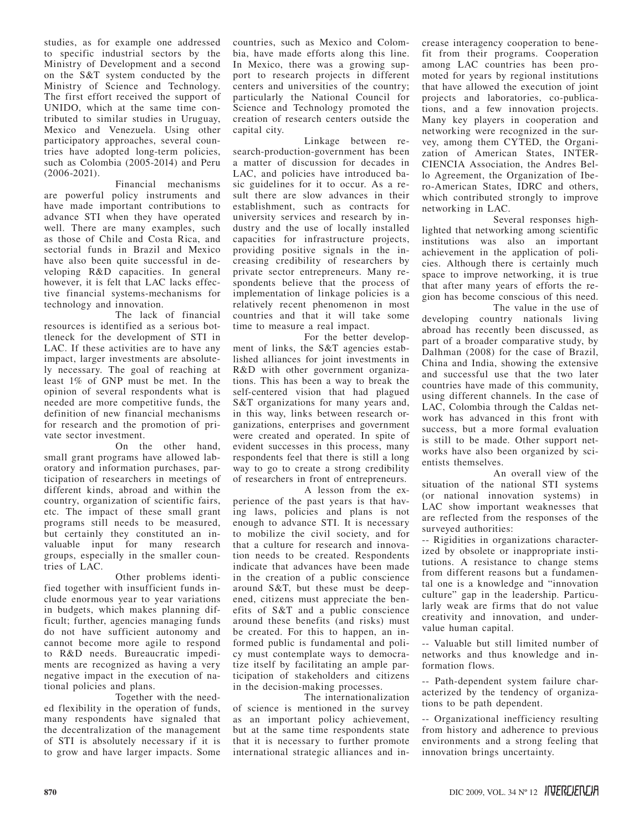studies, as for example one addressed to specific industrial sectors by the Ministry of Development and a second on the S&T system conducted by the Ministry of Science and Technology. The first effort received the support of UNIDO, which at the same time contributed to similar studies in Uruguay, Mexico and Venezuela. Using other participatory approaches, several countries have adopted long-term policies, such as Colombia (2005-2014) and Peru (2006-2021).

Financial mechanisms are powerful policy instruments and have made important contributions to advance STI when they have operated well. There are many examples, such as those of Chile and Costa Rica, and sectorial funds in Brazil and Mexico have also been quite successful in developing R&D capacities. In general however, it is felt that LAC lacks effective financial systems-mechanisms for technology and innovation.

The lack of financial resources is identified as a serious bottleneck for the development of STI in LAC. If these activities are to have any impact, larger investments are absolutely necessary. The goal of reaching at least 1% of GNP must be met. In the opinion of several respondents what is needed are more competitive funds, the definition of new financial mechanisms for research and the promotion of private sector investment.

On the other hand, small grant programs have allowed laboratory and information purchases, participation of researchers in meetings of different kinds, abroad and within the country, organization of scientific fairs, etc. The impact of these small grant programs still needs to be measured, but certainly they constituted an invaluable input for many research groups, especially in the smaller countries of LAC.

Other problems identified together with insufficient funds include enormous year to year variations in budgets, which makes planning difficult; further, agencies managing funds do not have sufficient autonomy and cannot become more agile to respond to R&D needs. Bureaucratic impediments are recognized as having a very negative impact in the execution of national policies and plans.

Together with the needed flexibility in the operation of funds, many respondents have signaled that the decentralization of the management of STI is absolutely necessary if it is to grow and have larger impacts. Some

countries, such as Mexico and Colombia, have made efforts along this line. In Mexico, there was a growing support to research projects in different centers and universities of the country; particularly the National Council for Science and Technology promoted the creation of research centers outside the capital city.

Linkage between research-production-government has been a matter of discussion for decades in LAC, and policies have introduced basic guidelines for it to occur. As a result there are slow advances in their establishment, such as contracts for university services and research by industry and the use of locally installed capacities for infrastructure projects, providing positive signals in the increasing credibility of researchers by private sector entrepreneurs. Many respondents believe that the process of implementation of linkage policies is a relatively recent phenomenon in most countries and that it will take some time to measure a real impact.

For the better development of links, the S&T agencies established alliances for joint investments in R&D with other government organizations. This has been a way to break the self-centered vision that had plagued S&T organizations for many years and, in this way, links between research organizations, enterprises and government were created and operated. In spite of evident successes in this process, many respondents feel that there is still a long way to go to create a strong credibility of researchers in front of entrepreneurs.

A lesson from the experience of the past years is that having laws, policies and plans is not enough to advance STI. It is necessary to mobilize the civil society, and for that a culture for research and innovation needs to be created. Respondents indicate that advances have been made in the creation of a public conscience around S&T, but these must be deepened, citizens must appreciate the benefits of S&T and a public conscience around these benefits (and risks) must be created. For this to happen, an informed public is fundamental and policy must contemplate ways to democratize itself by facilitating an ample participation of stakeholders and citizens in the decision-making processes.

The internationalization of science is mentioned in the survey as an important policy achievement, but at the same time respondents state that it is necessary to further promote international strategic alliances and in-

crease interagency cooperation to benefit from their programs. Cooperation among LAC countries has been promoted for years by regional institutions that have allowed the execution of joint projects and laboratories, co-publications, and a few innovation projects. Many key players in cooperation and networking were recognized in the survey, among them CYTED, the Organization of American States, INTER-CIENCIA Association, the Andres Bello Agreement, the Organization of Ibero-American States, IDRC and others, which contributed strongly to improve networking in LAC.

Several responses highlighted that networking among scientific institutions was also an important achievement in the application of policies. Although there is certainly much space to improve networking, it is true that after many years of efforts the region has become conscious of this need.

The value in the use of developing country nationals living abroad has recently been discussed, as part of a broader comparative study, by Dalhman (2008) for the case of Brazil, China and India, showing the extensive and successful use that the two later countries have made of this community, using different channels. In the case of LAC, Colombia through the Caldas network has advanced in this front with success, but a more formal evaluation is still to be made. Other support networks have also been organized by scientists themselves.

An overall view of the situation of the national STI systems (or national innovation systems) in LAC show important weaknesses that are reflected from the responses of the surveyed authorities:

-- Rigidities in organizations characterized by obsolete or inappropriate institutions. A resistance to change stems from different reasons but a fundamental one is a knowledge and "innovation culture" gap in the leadership. Particularly weak are firms that do not value creativity and innovation, and undervalue human capital.

-- Valuable but still limited number of networks and thus knowledge and information flows.

-- Path-dependent system failure characterized by the tendency of organizations to be path dependent.

-- Organizational inefficiency resulting from history and adherence to previous environments and a strong feeling that innovation brings uncertainty.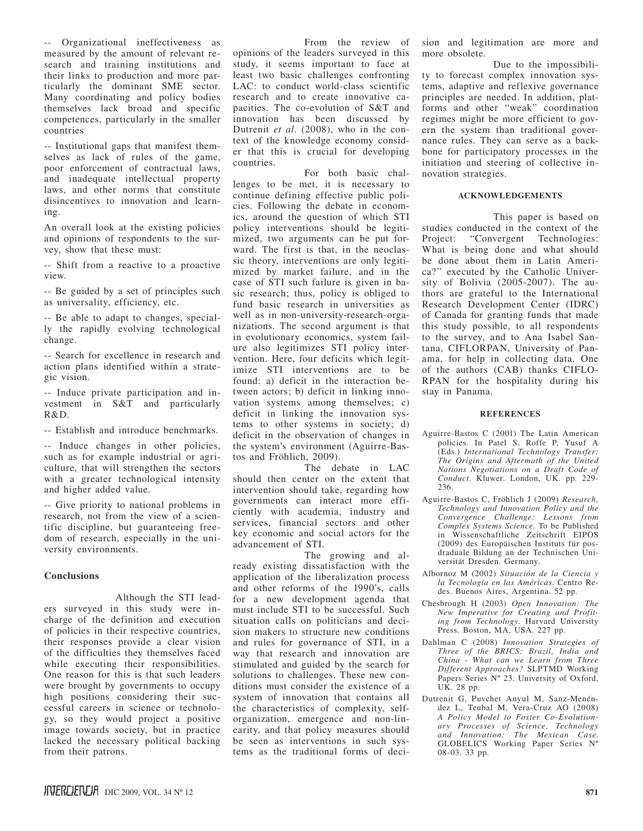-- Organizational ineffectiveness as measured by the amount of relevant research and training institutions and their links to production and more particularly the dominant SME sector. Many coordinating and policy bodies themselves lack broad and specific competences, particularly in the smaller countries

-- Institutional gaps that manifest themselves as lack of rules of the game, poor enforcement of contractual laws, and inadequate intellectual property laws, and other norms that constitute disincentives to innovation and learning.

An overall look at the existing policies and opinions of respondents to the survey, show that these must:

-- Shift from a reactive to a proactive view.

-- Be guided by a set of principles such as universality, efficiency, etc.

-- Be able to adapt to changes, specially the rapidly evolving technological change.

-- Search for excellence in research and action plans identified within a strategic vision.

-- Induce private participation and investment in S&T and particularly R&D.

-- Establish and introduce benchmarks.

-- Induce changes in other policies, such as for example industrial or agriculture, that will strengthen the sectors with a greater technological intensity and higher added value.

-- Give priority to national problems in research, not from the view of a scientific discipline, but guaranteeing freedom of research, especially in the university environments.

# **Conclusions**

Although the STI leaders surveyed in this study were incharge of the definition and execution of policies in their respective countries, their responses provide a clear vision of the difficulties they themselves faced while executing their responsibilities. One reason for this is that such leaders were brought by governments to occupy high positions considering their successful careers in science or technology, so they would project a positive image towards society, but in practice lacked the necessary political backing from their patrons.

From the review of opinions of the leaders surveyed in this study, it seems important to face at least two basic challenges confronting LAC: to conduct world-class scientific research and to create innovative capacities. The co-evolution of S&T and innovation has been discussed by Dutrenit *et al*. (2008), who in the context of the knowledge economy consider that this is crucial for developing countries.

For both basic challenges to be met, it is necessary to continue defining effective public policies. Following the debate in economics, around the question of which STI policy interventions should be legitimized, two arguments can be put forward. The first is that, in the neoclassic theory, interventions are only legitimized by market failure, and in the case of STI such failure is given in basic research; thus, policy is obliged to fund basic research in universities as well as in non-university-research-organizations. The second argument is that in evolutionary economics, system failure also legitimizes STI policy intervention. Here, four deficits which legitimize STI interventions are to be found: a) deficit in the interaction between actors; b) deficit in linking innovation systems among themselves; c) deficit in linking the innovation systems to other systems in society; d) deficit in the observation of changes in the system's environment (Aguirre-Bastos and Fröhlich, 2009).

The debate in LAC should then center on the extent that intervention should take, regarding how governments can interact more efficiently with academia, industry and services, financial sectors and other key economic and social actors for the advancement of STI.

The growing and already existing dissatisfaction with the application of the liberalization process and other reforms of the 1990's, calls for a new development agenda that must include STI to be successful. Such situation calls on politicians and decision makers to structure new conditions and rules for governance of STI, in a way that research and innovation are stimulated and guided by the search for solutions to challenges. These new conditions must consider the existence of a system of innovation that contains all the characteristics of complexity, selforganization, emergence and non-linearity, and that policy measures should be seen as interventions in such systems as the traditional forms of deci-

sion and legitimation are more and more obsolete.

Due to the impossibility to forecast complex innovation systems, adaptive and reflexive governance principles are needed. In addition, platforms and other "weak" coordination regimes might be more efficient to govern the system than traditional governance rules. They can serve as a backbone for participatory processes in the initiation and steering of collective innovation strategies.

## **Acknowledgements**

This paper is based on studies conducted in the context of the Project: "Convergent Technologies: What is being done and what should be done about them in Latin America?" executed by the Catholic University of Bolivia (2005-2007). The authors are grateful to the International Research Development Center (IDRC) of Canada for granting funds that made this study possible, to all respondents to the survey, and to Ana Isabel Santana, CIFLORPAN, University of Panama, for help in collecting data. One of the authors (CAB) thanks CIFLO-RPAN for the hospitality during his stay in Panama.

#### **References**

- Aguirre-Bastos C (2001) The Latin American policies. In Patel S, Roffe P, Yusuf A (Eds.) *International Technology Transfer: The Origins and Aftermath of the United Nations Negotiations on a Draft Code of Conduct*. Kluwer. London, UK. pp. 229-236.
- Aguirre-Bastos C, Fröhlich J (2009) *Research, Technology and Innovation Policy and the Convergence Challenge: Lessons from Complex Systems Science*. To be Published in Wissenschaftliche Zeitschrift EIPOS (2009) des Europäischen Instituts für posdraduale Bildung an der Technischen Universität Dresden. Germany.
- Albornoz M (2002) *Situación de la Ciencia y la Tecnología en las Américas*. Centro Redes. Buenos Aires, Argentina. 52 pp.
- Chesbrough H (2003) *Open Innovation: The New Imperative for Creating and Profiting from Technology*. Harvard University Press. Boston, MA, USA. 227 pp.
- Dahlman C (2008) *Innovation Strategies of Three of the BRICS: Brazil, India and China - What can we Learn from Three Different Approaches?* SLPTMD Working Papers Series Nº 23. University of Oxford, UK. 28 pp.
- Dutrenit G, Puvchet Anyul M, Sanz-Menéndez L, Teubal M, Vera-Cruz AO (2008) *A Policy Model to Foster Co-Evolutionary Processes of Science, Technology and Innovation: The Mexican Case*. GLOBELICS Working Paper Series Nº 08-03. 33 pp.